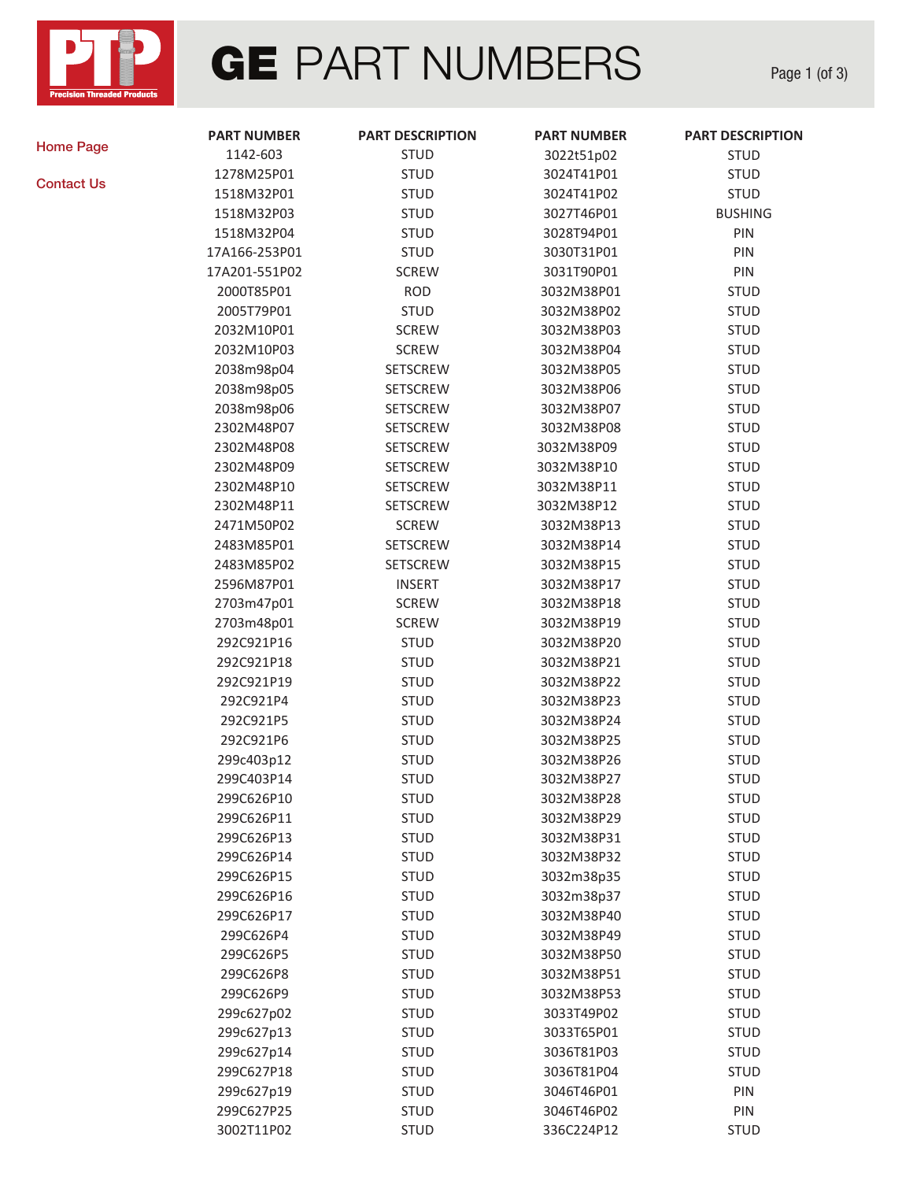

## **GE PART NUMBERS**

Page 1 (of 3)

[Home Page](http://ptp-inc.com/)

[Contact Us](mailto:sales@ptp-inc.com)

| <b>PART NUMBER</b> | <b>PART DESCRIPTION</b> | <b>PART NUMBER</b> | <b>PART DESCRIPTION</b> |
|--------------------|-------------------------|--------------------|-------------------------|
| 1142-603           | <b>STUD</b>             | 3022t51p02         | <b>STUD</b>             |
| 1278M25P01         | <b>STUD</b>             | 3024T41P01         | <b>STUD</b>             |
| 1518M32P01         | <b>STUD</b>             | 3024T41P02         | <b>STUD</b>             |
| 1518M32P03         | <b>STUD</b>             | 3027T46P01         | <b>BUSHING</b>          |
| 1518M32P04         | <b>STUD</b>             | 3028T94P01         | PIN                     |
| 17A166-253P01      | <b>STUD</b>             | 3030T31P01         | PIN                     |
| 17A201-551P02      | <b>SCREW</b>            | 3031T90P01         | PIN                     |
| 2000T85P01         | <b>ROD</b>              | 3032M38P01         | <b>STUD</b>             |
| 2005T79P01         | <b>STUD</b>             | 3032M38P02         | <b>STUD</b>             |
| 2032M10P01         | <b>SCREW</b>            | 3032M38P03         | <b>STUD</b>             |
| 2032M10P03         | <b>SCREW</b>            | 3032M38P04         | <b>STUD</b>             |
| 2038m98p04         | SETSCREW                | 3032M38P05         | <b>STUD</b>             |
| 2038m98p05         | <b>SETSCREW</b>         | 3032M38P06         | <b>STUD</b>             |
| 2038m98p06         | <b>SETSCREW</b>         | 3032M38P07         | <b>STUD</b>             |
| 2302M48P07         | SETSCREW                | 3032M38P08         | <b>STUD</b>             |
| 2302M48P08         | SETSCREW                | 3032M38P09         | <b>STUD</b>             |
| 2302M48P09         | SETSCREW                | 3032M38P10         | <b>STUD</b>             |
| 2302M48P10         | SETSCREW                | 3032M38P11         | <b>STUD</b>             |
| 2302M48P11         | <b>SETSCREW</b>         | 3032M38P12         | <b>STUD</b>             |
| 2471M50P02         | <b>SCREW</b>            | 3032M38P13         | <b>STUD</b>             |
| 2483M85P01         | <b>SETSCREW</b>         | 3032M38P14         | <b>STUD</b>             |
| 2483M85P02         | <b>SETSCREW</b>         | 3032M38P15         | <b>STUD</b>             |
| 2596M87P01         | <b>INSERT</b>           | 3032M38P17         | <b>STUD</b>             |
| 2703m47p01         | <b>SCREW</b>            | 3032M38P18         | <b>STUD</b>             |
| 2703m48p01         | <b>SCREW</b>            | 3032M38P19         | <b>STUD</b>             |
| 292C921P16         | <b>STUD</b>             | 3032M38P20         | <b>STUD</b>             |
| 292C921P18         | <b>STUD</b>             | 3032M38P21         | <b>STUD</b>             |
| 292C921P19         | <b>STUD</b>             | 3032M38P22         | <b>STUD</b>             |
| 292C921P4          | <b>STUD</b>             | 3032M38P23         | <b>STUD</b>             |
| 292C921P5          | <b>STUD</b>             | 3032M38P24         | <b>STUD</b>             |
| 292C921P6          | <b>STUD</b>             | 3032M38P25         | <b>STUD</b>             |
| 299c403p12         | <b>STUD</b>             | 3032M38P26         | <b>STUD</b>             |
| 299C403P14         | <b>STUD</b>             | 3032M38P27         | <b>STUD</b>             |
| 299C626P10         | <b>STUD</b>             | 3032M38P28         | <b>STUD</b>             |
| 299C626P11         | <b>STUD</b>             | 3032M38P29         | <b>STUD</b>             |
| 299C626P13         | <b>STUD</b>             | 3032M38P31         | <b>STUD</b>             |
| 299C626P14         | <b>STUD</b>             | 3032M38P32         | <b>STUD</b>             |
| 299C626P15         | <b>STUD</b>             | 3032m38p35         | <b>STUD</b>             |
| 299C626P16         | <b>STUD</b>             | 3032m38p37         | <b>STUD</b>             |
| 299C626P17         | <b>STUD</b>             | 3032M38P40         | <b>STUD</b>             |
| 299C626P4          | <b>STUD</b>             | 3032M38P49         | <b>STUD</b>             |
| 299C626P5          | <b>STUD</b>             | 3032M38P50         | <b>STUD</b>             |
| 299C626P8          | <b>STUD</b>             | 3032M38P51         | <b>STUD</b>             |
| 299C626P9          | <b>STUD</b>             | 3032M38P53         | <b>STUD</b>             |
| 299c627p02         | <b>STUD</b>             | 3033T49P02         | <b>STUD</b>             |
| 299c627p13         | <b>STUD</b>             | 3033T65P01         | <b>STUD</b>             |
| 299c627p14         | <b>STUD</b>             | 3036T81P03         | <b>STUD</b>             |
| 299C627P18         | <b>STUD</b>             | 3036T81P04         | <b>STUD</b>             |
| 299c627p19         | <b>STUD</b>             | 3046T46P01         | PIN                     |
| 299C627P25         | <b>STUD</b>             | 3046T46P02         | PIN                     |
| 3002T11P02         | <b>STUD</b>             | 336C224P12         | <b>STUD</b>             |
|                    |                         |                    |                         |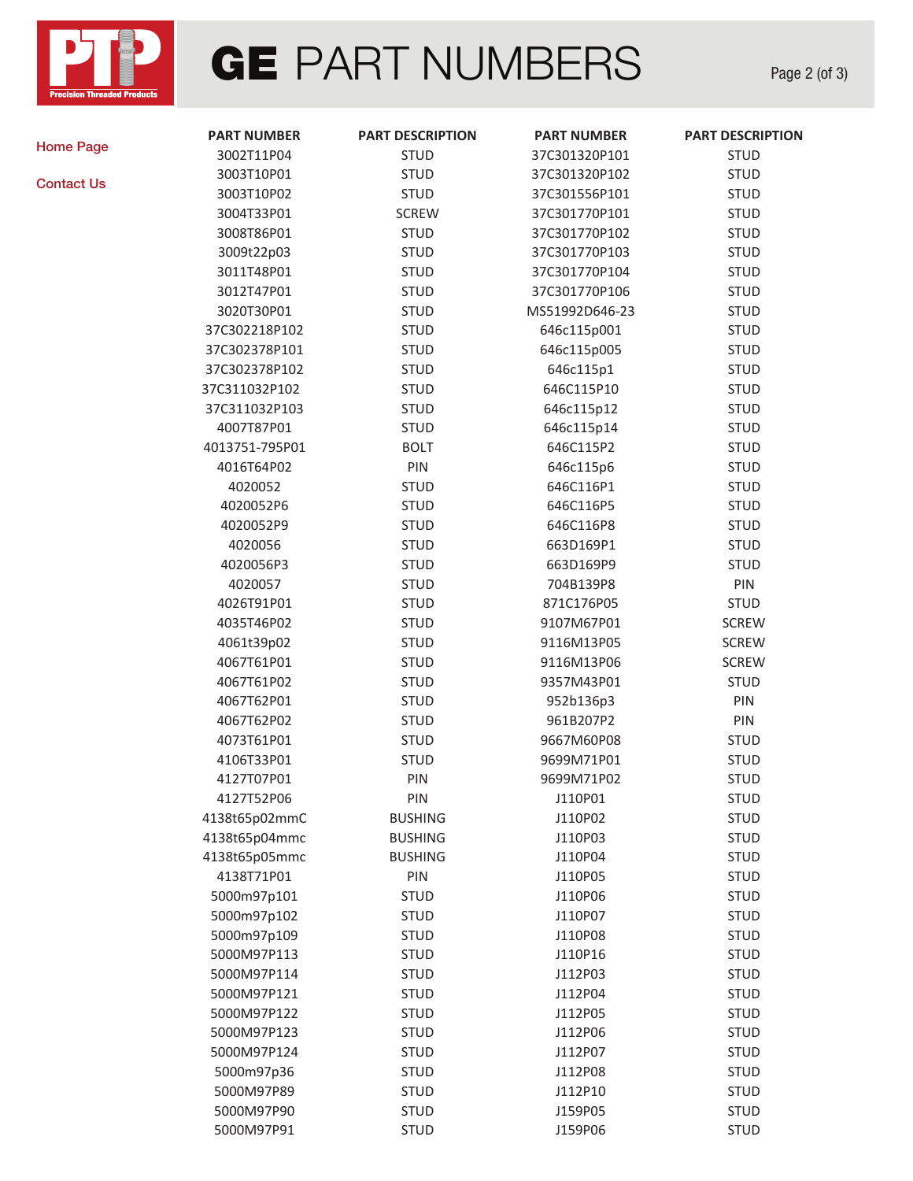

## **GE** PART NUMBERS

Page 2 (of 3)

[Home Page](http://ptp-inc.com/)

[Contact Us](mailto:sales@ptp-inc.com)

| <b>PART NUMBER</b> | <b>PART DESCRIPTION</b> | <b>PART NUMBER</b> | <b>PART DESCRIPTION</b> |
|--------------------|-------------------------|--------------------|-------------------------|
| 3002T11P04         | <b>STUD</b>             | 37C301320P101      | <b>STUD</b>             |
| 3003T10P01         | <b>STUD</b>             | 37C301320P102      | <b>STUD</b>             |
| 3003T10P02         | <b>STUD</b>             | 37C301556P101      | <b>STUD</b>             |
| 3004T33P01         | <b>SCREW</b>            | 37C301770P101      | <b>STUD</b>             |
| 3008T86P01         | <b>STUD</b>             | 37C301770P102      | <b>STUD</b>             |
| 3009t22p03         | <b>STUD</b>             | 37C301770P103      | <b>STUD</b>             |
| 3011T48P01         | <b>STUD</b>             | 37C301770P104      | <b>STUD</b>             |
| 3012T47P01         | <b>STUD</b>             | 37C301770P106      | <b>STUD</b>             |
| 3020T30P01         | <b>STUD</b>             | MS51992D646-23     | <b>STUD</b>             |
| 37C302218P102      | <b>STUD</b>             | 646c115p001        | <b>STUD</b>             |
| 37C302378P101      | <b>STUD</b>             | 646c115p005        | <b>STUD</b>             |
| 37C302378P102      | <b>STUD</b>             | 646c115p1          | <b>STUD</b>             |
| 37C311032P102      | <b>STUD</b>             | 646C115P10         | <b>STUD</b>             |
| 37C311032P103      | <b>STUD</b>             | 646c115p12         | <b>STUD</b>             |
| 4007T87P01         | <b>STUD</b>             | 646c115p14         | <b>STUD</b>             |
| 4013751-795P01     | <b>BOLT</b>             | 646C115P2          | <b>STUD</b>             |
| 4016T64P02         | PIN                     | 646c115p6          | <b>STUD</b>             |
| 4020052            | <b>STUD</b>             | 646C116P1          | <b>STUD</b>             |
| 4020052P6          | <b>STUD</b>             | 646C116P5          | <b>STUD</b>             |
| 4020052P9          | <b>STUD</b>             | 646C116P8          | <b>STUD</b>             |
| 4020056            | <b>STUD</b>             | 663D169P1          | <b>STUD</b>             |
| 4020056P3          | <b>STUD</b>             | 663D169P9          | <b>STUD</b>             |
| 4020057            | <b>STUD</b>             | 704B139P8          | PIN                     |
| 4026T91P01         | <b>STUD</b>             | 871C176P05         | <b>STUD</b>             |
| 4035T46P02         | <b>STUD</b>             | 9107M67P01         | <b>SCREW</b>            |
| 4061t39p02         | <b>STUD</b>             | 9116M13P05         | <b>SCREW</b>            |
| 4067T61P01         | <b>STUD</b>             | 9116M13P06         | <b>SCREW</b>            |
| 4067T61P02         | <b>STUD</b>             | 9357M43P01         | <b>STUD</b>             |
| 4067T62P01         | <b>STUD</b>             | 952b136p3          | PIN                     |
| 4067T62P02         | <b>STUD</b>             | 961B207P2          | PIN                     |
| 4073T61P01         | <b>STUD</b>             | 9667M60P08         | <b>STUD</b>             |
| 4106T33P01         | <b>STUD</b>             | 9699M71P01         | <b>STUD</b>             |
| 4127T07P01         | PIN                     | 9699M71P02         | <b>STUD</b>             |
| 4127T52P06         | PIN                     | J110P01            | <b>STUD</b>             |
| 4138t65p02mmC      | <b>BUSHING</b>          | J110P02            | <b>STUD</b>             |
| 4138t65p04mmc      | <b>BUSHING</b>          | J110P03            | <b>STUD</b>             |
| 4138t65p05mmc      | <b>BUSHING</b>          | J110P04            | <b>STUD</b>             |
| 4138T71P01         | PIN                     | J110P05            | <b>STUD</b>             |
| 5000m97p101        | <b>STUD</b>             | J110P06            | <b>STUD</b>             |
| 5000m97p102        | <b>STUD</b>             | J110P07            | <b>STUD</b>             |
| 5000m97p109        | <b>STUD</b>             | J110P08            | <b>STUD</b>             |
| 5000M97P113        | <b>STUD</b>             | J110P16            | <b>STUD</b>             |
| 5000M97P114        | <b>STUD</b>             | J112P03            | <b>STUD</b>             |
| 5000M97P121        | <b>STUD</b>             | J112P04            | <b>STUD</b>             |
| 5000M97P122        | <b>STUD</b>             | J112P05            | <b>STUD</b>             |
| 5000M97P123        | <b>STUD</b>             | J112P06            | <b>STUD</b>             |
| 5000M97P124        | <b>STUD</b>             | J112P07            | <b>STUD</b>             |
| 5000m97p36         | <b>STUD</b>             | J112P08            | <b>STUD</b>             |
| 5000M97P89         | <b>STUD</b>             | J112P10            | <b>STUD</b>             |
| 5000M97P90         | <b>STUD</b>             | J159P05            | <b>STUD</b>             |
| 5000M97P91         | <b>STUD</b>             | J159P06            | <b>STUD</b>             |